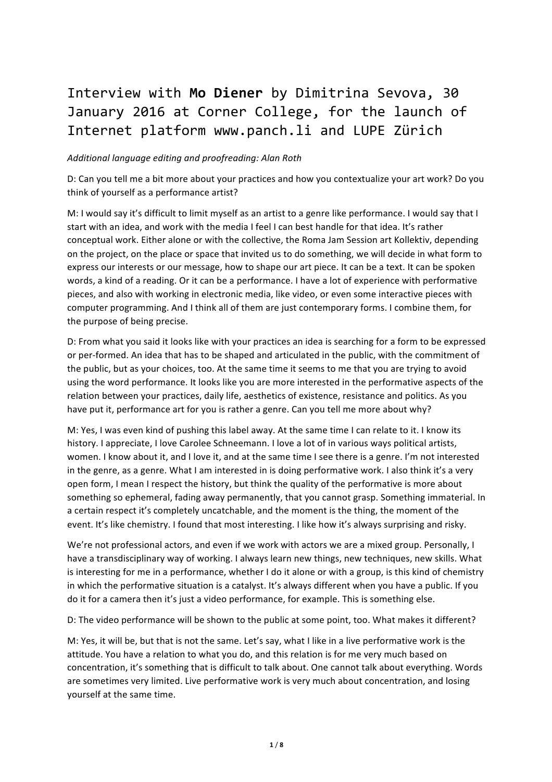## Interview with Mo Diener by Dimitrina Sevova, 30 January 2016 at Corner College, for the launch of Internet platform www.panch.li and LUPE Zürich

## *Additional language editing and proofreading: Alan Roth*

D: Can you tell me a bit more about your practices and how you contextualize your art work? Do you think of yourself as a performance artist?

M: I would say it's difficult to limit myself as an artist to a genre like performance. I would say that I start with an idea, and work with the media I feel I can best handle for that idea. It's rather conceptual work. Either alone or with the collective, the Roma Jam Session art Kollektiv, depending on the project, on the place or space that invited us to do something, we will decide in what form to express our interests or our message, how to shape our art piece. It can be a text. It can be spoken words, a kind of a reading. Or it can be a performance. I have a lot of experience with performative pieces, and also with working in electronic media, like video, or even some interactive pieces with computer programming. And I think all of them are just contemporary forms. I combine them, for the purpose of being precise.

D: From what you said it looks like with your practices an idea is searching for a form to be expressed or per-formed. An idea that has to be shaped and articulated in the public, with the commitment of the public, but as your choices, too. At the same time it seems to me that you are trying to avoid using the word performance. It looks like you are more interested in the performative aspects of the relation between your practices, daily life, aesthetics of existence, resistance and politics. As you have put it, performance art for you is rather a genre. Can you tell me more about why?

M: Yes, I was even kind of pushing this label away. At the same time I can relate to it. I know its history. I appreciate, I love Carolee Schneemann. I love a lot of in various ways political artists, women. I know about it, and I love it, and at the same time I see there is a genre. I'm not interested in the genre, as a genre. What I am interested in is doing performative work. I also think it's a very open form, I mean I respect the history, but think the quality of the performative is more about something so ephemeral, fading away permanently, that you cannot grasp. Something immaterial. In a certain respect it's completely uncatchable, and the moment is the thing, the moment of the event. It's like chemistry. I found that most interesting. I like how it's always surprising and risky.

We're not professional actors, and even if we work with actors we are a mixed group. Personally, I have a transdisciplinary way of working. I always learn new things, new techniques, new skills. What is interesting for me in a performance, whether I do it alone or with a group, is this kind of chemistry in which the performative situation is a catalyst. It's always different when you have a public. If you do it for a camera then it's just a video performance, for example. This is something else.

D: The video performance will be shown to the public at some point, too. What makes it different?

M: Yes, it will be, but that is not the same. Let's say, what I like in a live performative work is the attitude. You have a relation to what you do, and this relation is for me very much based on concentration, it's something that is difficult to talk about. One cannot talk about everything. Words are sometimes very limited. Live performative work is very much about concentration, and losing yourself at the same time.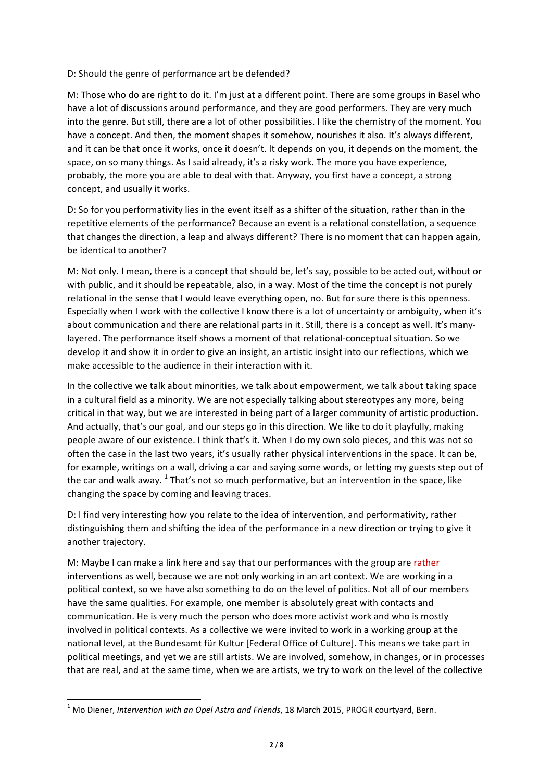## D: Should the genre of performance art be defended?

M: Those who do are right to do it. I'm just at a different point. There are some groups in Basel who have a lot of discussions around performance, and they are good performers. They are very much into the genre. But still, there are a lot of other possibilities. I like the chemistry of the moment. You have a concept. And then, the moment shapes it somehow, nourishes it also. It's always different, and it can be that once it works, once it doesn't. It depends on you, it depends on the moment, the space, on so many things. As I said already, it's a risky work. The more you have experience, probably, the more you are able to deal with that. Anyway, you first have a concept, a strong concept, and usually it works.

D: So for you performativity lies in the event itself as a shifter of the situation, rather than in the repetitive elements of the performance? Because an event is a relational constellation, a sequence that changes the direction, a leap and always different? There is no moment that can happen again, be identical to another?

M: Not only. I mean, there is a concept that should be, let's say, possible to be acted out, without or with public, and it should be repeatable, also, in a way. Most of the time the concept is not purely relational in the sense that I would leave everything open, no. But for sure there is this openness. Especially when I work with the collective I know there is a lot of uncertainty or ambiguity, when it's about communication and there are relational parts in it. Still, there is a concept as well. It's manylayered. The performance itself shows a moment of that relational-conceptual situation. So we develop it and show it in order to give an insight, an artistic insight into our reflections, which we make accessible to the audience in their interaction with it.

In the collective we talk about minorities, we talk about empowerment, we talk about taking space in a cultural field as a minority. We are not especially talking about stereotypes any more, being critical in that way, but we are interested in being part of a larger community of artistic production. And actually, that's our goal, and our steps go in this direction. We like to do it playfully, making people aware of our existence. I think that's it. When I do my own solo pieces, and this was not so often the case in the last two years, it's usually rather physical interventions in the space. It can be, for example, writings on a wall, driving a car and saying some words, or letting my guests step out of the car and walk away.  $1$  That's not so much performative, but an intervention in the space, like changing the space by coming and leaving traces.

D: I find very interesting how you relate to the idea of intervention, and performativity, rather distinguishing them and shifting the idea of the performance in a new direction or trying to give it another trajectory.

M: Maybe I can make a link here and say that our performances with the group are rather interventions as well, because we are not only working in an art context. We are working in a political context, so we have also something to do on the level of politics. Not all of our members have the same qualities. For example, one member is absolutely great with contacts and communication. He is very much the person who does more activist work and who is mostly involved in political contexts. As a collective we were invited to work in a working group at the national level, at the Bundesamt für Kultur [Federal Office of Culture]. This means we take part in political meetings, and yet we are still artists. We are involved, somehow, in changes, or in processes that are real, and at the same time, when we are artists, we try to work on the level of the collective

<u> 1989 - Jan Samuel Barbara, margaret e</u>

<sup>&</sup>lt;sup>1</sup> Mo Diener, *Intervention with an Opel Astra and Friends*, 18 March 2015, PROGR courtyard, Bern.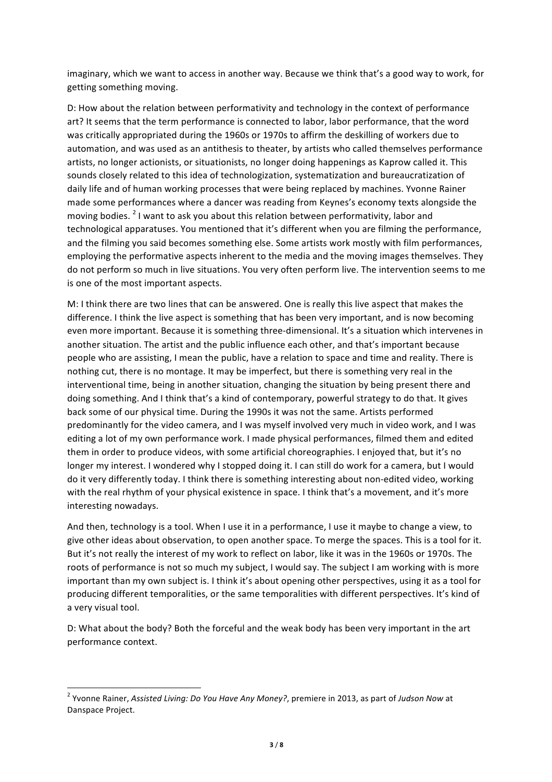imaginary, which we want to access in another way. Because we think that's a good way to work, for getting something moving.

D: How about the relation between performativity and technology in the context of performance art? It seems that the term performance is connected to labor, labor performance, that the word was critically appropriated during the 1960s or 1970s to affirm the deskilling of workers due to automation, and was used as an antithesis to theater, by artists who called themselves performance artists, no longer actionists, or situationists, no longer doing happenings as Kaprow called it. This sounds closely related to this idea of technologization, systematization and bureaucratization of daily life and of human working processes that were being replaced by machines. Yvonne Rainer made some performances where a dancer was reading from Keynes's economy texts alongside the moving bodies.  $2^2$  I want to ask you about this relation between performativity, labor and technological apparatuses. You mentioned that it's different when you are filming the performance, and the filming you said becomes something else. Some artists work mostly with film performances, employing the performative aspects inherent to the media and the moving images themselves. They do not perform so much in live situations. You very often perform live. The intervention seems to me is one of the most important aspects.

M: I think there are two lines that can be answered. One is really this live aspect that makes the difference. I think the live aspect is something that has been very important, and is now becoming even more important. Because it is something three-dimensional. It's a situation which intervenes in another situation. The artist and the public influence each other, and that's important because people who are assisting, I mean the public, have a relation to space and time and reality. There is nothing cut, there is no montage. It may be imperfect, but there is something very real in the interventional time, being in another situation, changing the situation by being present there and doing something. And I think that's a kind of contemporary, powerful strategy to do that. It gives back some of our physical time. During the 1990s it was not the same. Artists performed predominantly for the video camera, and I was myself involved very much in video work, and I was editing a lot of my own performance work. I made physical performances, filmed them and edited them in order to produce videos, with some artificial choreographies. I enjoyed that, but it's no longer my interest. I wondered why I stopped doing it. I can still do work for a camera, but I would do it very differently today. I think there is something interesting about non-edited video, working with the real rhythm of your physical existence in space. I think that's a movement, and it's more interesting nowadays.

And then, technology is a tool. When I use it in a performance, I use it maybe to change a view, to give other ideas about observation, to open another space. To merge the spaces. This is a tool for it. But it's not really the interest of my work to reflect on labor, like it was in the 1960s or 1970s. The roots of performance is not so much my subject, I would say. The subject I am working with is more important than my own subject is. I think it's about opening other perspectives, using it as a tool for producing different temporalities, or the same temporalities with different perspectives. It's kind of a very visual tool.

D: What about the body? Both the forceful and the weak body has been very important in the art performance context.

<u> 1989 - Jan Samuel Barbara, margaret e</u>

<sup>&</sup>lt;sup>2</sup> Yvonne Rainer, Assisted Living: Do You Have Any Money?, premiere in 2013, as part of Judson Now at Danspace Project.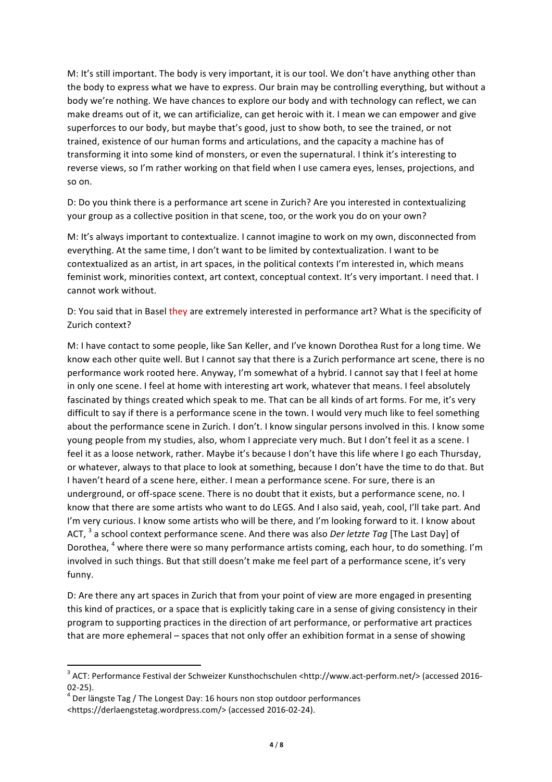M: It's still important. The body is very important, it is our tool. We don't have anything other than the body to express what we have to express. Our brain may be controlling everything, but without a body we're nothing. We have chances to explore our body and with technology can reflect, we can make dreams out of it, we can artificialize, can get heroic with it. I mean we can empower and give superforces to our body, but maybe that's good, just to show both, to see the trained, or not trained, existence of our human forms and articulations, and the capacity a machine has of transforming it into some kind of monsters, or even the supernatural. I think it's interesting to reverse views, so I'm rather working on that field when I use camera eyes, lenses, projections, and so on.

D: Do you think there is a performance art scene in Zurich? Are you interested in contextualizing your group as a collective position in that scene, too, or the work you do on your own?

M: It's always important to contextualize. I cannot imagine to work on my own, disconnected from everything. At the same time, I don't want to be limited by contextualization. I want to be contextualized as an artist, in art spaces, in the political contexts I'm interested in, which means feminist work, minorities context, art context, conceptual context. It's very important. I need that. I cannot work without.

D: You said that in Basel they are extremely interested in performance art? What is the specificity of Zurich context?

M: I have contact to some people, like San Keller, and I've known Dorothea Rust for a long time. We know each other quite well. But I cannot say that there is a Zurich performance art scene, there is no performance work rooted here. Anyway, I'm somewhat of a hybrid. I cannot say that I feel at home in only one scene. I feel at home with interesting art work, whatever that means. I feel absolutely fascinated by things created which speak to me. That can be all kinds of art forms. For me, it's very difficult to say if there is a performance scene in the town. I would very much like to feel something about the performance scene in Zurich. I don't. I know singular persons involved in this. I know some young people from my studies, also, whom I appreciate very much. But I don't feel it as a scene. I feel it as a loose network, rather. Maybe it's because I don't have this life where I go each Thursday, or whatever, always to that place to look at something, because I don't have the time to do that. But I haven't heard of a scene here, either. I mean a performance scene. For sure, there is an underground, or off-space scene. There is no doubt that it exists, but a performance scene, no. I know that there are some artists who want to do LEGS. And I also said, yeah, cool, I'll take part. And I'm very curious. I know some artists who will be there, and I'm looking forward to it. I know about ACT, <sup>3</sup> a school context performance scene. And there was also *Der letzte Tag* [The Last Day] of Dorothea, <sup>4</sup> where there were so many performance artists coming, each hour, to do something. I'm involved in such things. But that still doesn't make me feel part of a performance scene, it's very funny.

D: Are there any art spaces in Zurich that from your point of view are more engaged in presenting this kind of practices, or a space that is explicitly taking care in a sense of giving consistency in their program to supporting practices in the direction of art performance, or performative art practices that are more ephemeral – spaces that not only offer an exhibition format in a sense of showing

<u> 1989 - Jan Samuel Barbara, margaret e</u>

<sup>&</sup>lt;sup>3</sup> ACT: Performance Festival der Schweizer Kunsthochschulen <http://www.act-perform.net/> (accessed 2016-02-25).<br> $4$  Der längste Tag / The Longest Day: 16 hours non stop outdoor performances

<sup>&</sup>lt;https://derlaengstetag.wordpress.com/> (accessed 2016-02-24).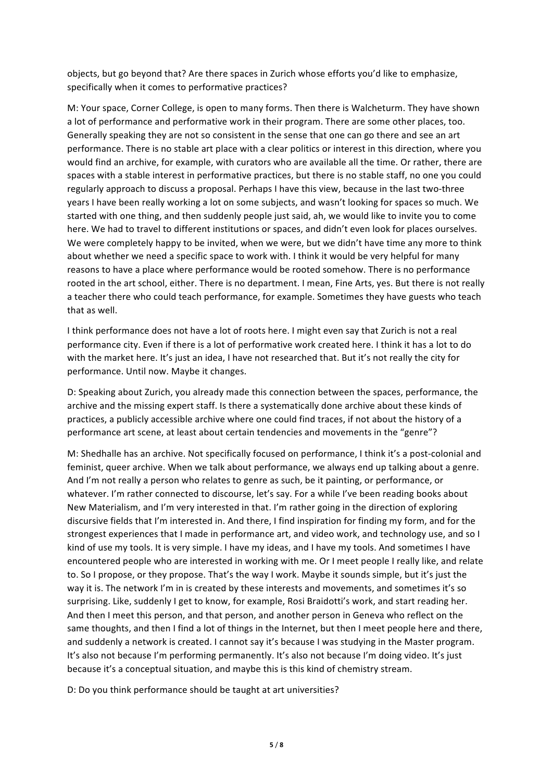objects, but go beyond that? Are there spaces in Zurich whose efforts you'd like to emphasize, specifically when it comes to performative practices?

M: Your space, Corner College, is open to many forms. Then there is Walcheturm. They have shown a lot of performance and performative work in their program. There are some other places, too. Generally speaking they are not so consistent in the sense that one can go there and see an art performance. There is no stable art place with a clear politics or interest in this direction, where you would find an archive, for example, with curators who are available all the time. Or rather, there are spaces with a stable interest in performative practices, but there is no stable staff, no one you could regularly approach to discuss a proposal. Perhaps I have this view, because in the last two-three years I have been really working a lot on some subjects, and wasn't looking for spaces so much. We started with one thing, and then suddenly people just said, ah, we would like to invite you to come here. We had to travel to different institutions or spaces, and didn't even look for places ourselves. We were completely happy to be invited, when we were, but we didn't have time any more to think about whether we need a specific space to work with. I think it would be very helpful for many reasons to have a place where performance would be rooted somehow. There is no performance rooted in the art school, either. There is no department. I mean, Fine Arts, yes. But there is not really a teacher there who could teach performance, for example. Sometimes they have guests who teach that as well.

I think performance does not have a lot of roots here. I might even say that Zurich is not a real performance city. Even if there is a lot of performative work created here. I think it has a lot to do with the market here. It's just an idea, I have not researched that. But it's not really the city for performance. Until now. Maybe it changes.

D: Speaking about Zurich, you already made this connection between the spaces, performance, the archive and the missing expert staff. Is there a systematically done archive about these kinds of practices, a publicly accessible archive where one could find traces, if not about the history of a performance art scene, at least about certain tendencies and movements in the "genre"?

M: Shedhalle has an archive. Not specifically focused on performance, I think it's a post-colonial and feminist, queer archive. When we talk about performance, we always end up talking about a genre. And I'm not really a person who relates to genre as such, be it painting, or performance, or whatever. I'm rather connected to discourse, let's say. For a while I've been reading books about New Materialism, and I'm very interested in that. I'm rather going in the direction of exploring discursive fields that I'm interested in. And there, I find inspiration for finding my form, and for the strongest experiences that I made in performance art, and video work, and technology use, and so I kind of use my tools. It is very simple. I have my ideas, and I have my tools. And sometimes I have encountered people who are interested in working with me. Or I meet people I really like, and relate to. So I propose, or they propose. That's the way I work. Maybe it sounds simple, but it's just the way it is. The network I'm in is created by these interests and movements, and sometimes it's so surprising. Like, suddenly I get to know, for example, Rosi Braidotti's work, and start reading her. And then I meet this person, and that person, and another person in Geneva who reflect on the same thoughts, and then I find a lot of things in the Internet, but then I meet people here and there, and suddenly a network is created. I cannot say it's because I was studying in the Master program. It's also not because I'm performing permanently. It's also not because I'm doing video. It's just because it's a conceptual situation, and maybe this is this kind of chemistry stream.

D: Do you think performance should be taught at art universities?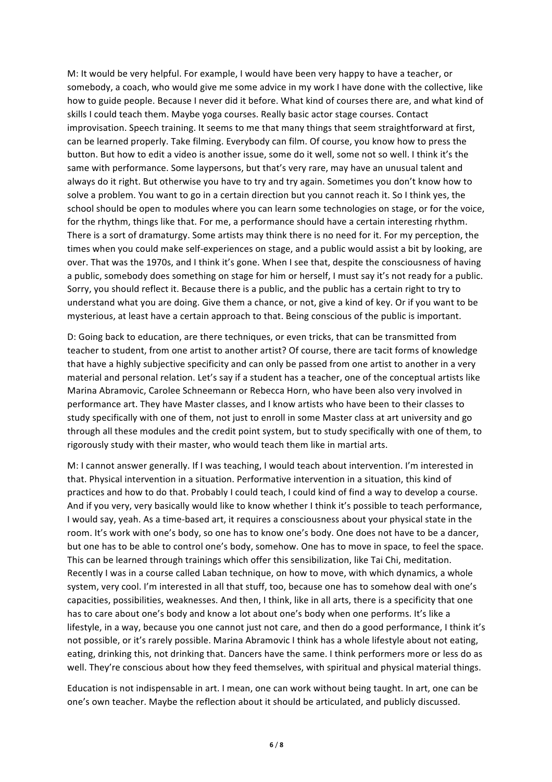M: It would be very helpful. For example, I would have been very happy to have a teacher, or somebody, a coach, who would give me some advice in my work I have done with the collective, like how to guide people. Because I never did it before. What kind of courses there are, and what kind of skills I could teach them. Maybe yoga courses. Really basic actor stage courses. Contact improvisation. Speech training. It seems to me that many things that seem straightforward at first, can be learned properly. Take filming. Everybody can film. Of course, you know how to press the button. But how to edit a video is another issue, some do it well, some not so well. I think it's the same with performance. Some laypersons, but that's very rare, may have an unusual talent and always do it right. But otherwise you have to try and try again. Sometimes you don't know how to solve a problem. You want to go in a certain direction but you cannot reach it. So I think yes, the school should be open to modules where you can learn some technologies on stage, or for the voice, for the rhythm, things like that. For me, a performance should have a certain interesting rhythm. There is a sort of dramaturgy. Some artists may think there is no need for it. For my perception, the times when you could make self-experiences on stage, and a public would assist a bit by looking, are over. That was the 1970s, and I think it's gone. When I see that, despite the consciousness of having a public, somebody does something on stage for him or herself, I must say it's not ready for a public. Sorry, you should reflect it. Because there is a public, and the public has a certain right to try to understand what you are doing. Give them a chance, or not, give a kind of key. Or if you want to be mysterious, at least have a certain approach to that. Being conscious of the public is important.

D: Going back to education, are there techniques, or even tricks, that can be transmitted from teacher to student, from one artist to another artist? Of course, there are tacit forms of knowledge that have a highly subjective specificity and can only be passed from one artist to another in a very material and personal relation. Let's say if a student has a teacher, one of the conceptual artists like Marina Abramovic, Carolee Schneemann or Rebecca Horn, who have been also very involved in performance art. They have Master classes, and I know artists who have been to their classes to study specifically with one of them, not just to enroll in some Master class at art university and go through all these modules and the credit point system, but to study specifically with one of them, to rigorously study with their master, who would teach them like in martial arts.

M: I cannot answer generally. If I was teaching, I would teach about intervention. I'm interested in that. Physical intervention in a situation. Performative intervention in a situation, this kind of practices and how to do that. Probably I could teach, I could kind of find a way to develop a course. And if you very, very basically would like to know whether I think it's possible to teach performance, I would say, yeah. As a time-based art, it requires a consciousness about your physical state in the room. It's work with one's body, so one has to know one's body. One does not have to be a dancer, but one has to be able to control one's body, somehow. One has to move in space, to feel the space. This can be learned through trainings which offer this sensibilization, like Tai Chi, meditation. Recently I was in a course called Laban technique, on how to move, with which dynamics, a whole system, very cool. I'm interested in all that stuff, too, because one has to somehow deal with one's capacities, possibilities, weaknesses. And then, I think, like in all arts, there is a specificity that one has to care about one's body and know a lot about one's body when one performs. It's like a lifestyle, in a way, because you one cannot just not care, and then do a good performance, I think it's not possible, or it's rarely possible. Marina Abramovic I think has a whole lifestyle about not eating, eating, drinking this, not drinking that. Dancers have the same. I think performers more or less do as well. They're conscious about how they feed themselves, with spiritual and physical material things.

Education is not indispensable in art. I mean, one can work without being taught. In art, one can be one's own teacher. Maybe the reflection about it should be articulated, and publicly discussed.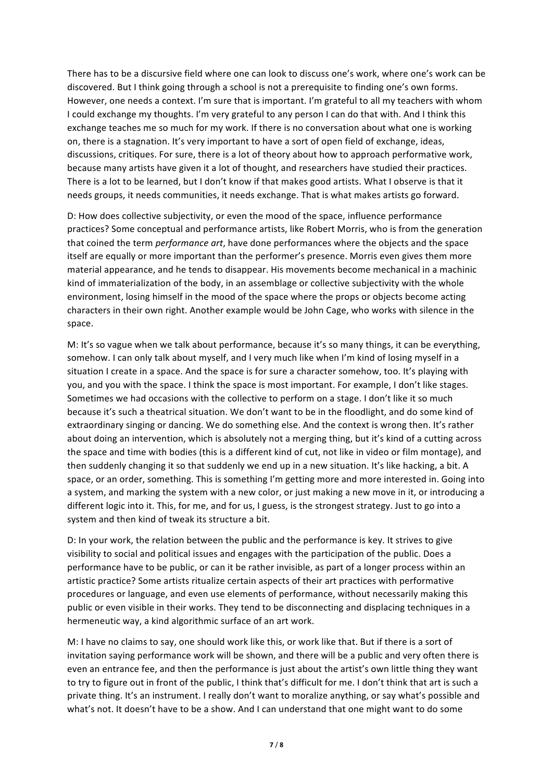There has to be a discursive field where one can look to discuss one's work, where one's work can be discovered. But I think going through a school is not a prerequisite to finding one's own forms. However, one needs a context. I'm sure that is important. I'm grateful to all my teachers with whom I could exchange my thoughts. I'm very grateful to any person I can do that with. And I think this exchange teaches me so much for my work. If there is no conversation about what one is working on, there is a stagnation. It's very important to have a sort of open field of exchange, ideas, discussions, critiques. For sure, there is a lot of theory about how to approach performative work, because many artists have given it a lot of thought, and researchers have studied their practices. There is a lot to be learned, but I don't know if that makes good artists. What I observe is that it needs groups, it needs communities, it needs exchange. That is what makes artists go forward.

D: How does collective subjectivity, or even the mood of the space, influence performance practices? Some conceptual and performance artists, like Robert Morris, who is from the generation that coined the term *performance art*, have done performances where the objects and the space itself are equally or more important than the performer's presence. Morris even gives them more material appearance, and he tends to disappear. His movements become mechanical in a machinic kind of immaterialization of the body, in an assemblage or collective subjectivity with the whole environment, losing himself in the mood of the space where the props or objects become acting characters in their own right. Another example would be John Cage, who works with silence in the space.

M: It's so vague when we talk about performance, because it's so many things, it can be everything, somehow. I can only talk about myself, and I very much like when I'm kind of losing myself in a situation I create in a space. And the space is for sure a character somehow, too. It's playing with you, and you with the space. I think the space is most important. For example, I don't like stages. Sometimes we had occasions with the collective to perform on a stage. I don't like it so much because it's such a theatrical situation. We don't want to be in the floodlight, and do some kind of extraordinary singing or dancing. We do something else. And the context is wrong then. It's rather about doing an intervention, which is absolutely not a merging thing, but it's kind of a cutting across the space and time with bodies (this is a different kind of cut, not like in video or film montage), and then suddenly changing it so that suddenly we end up in a new situation. It's like hacking, a bit. A space, or an order, something. This is something I'm getting more and more interested in. Going into a system, and marking the system with a new color, or just making a new move in it, or introducing a different logic into it. This, for me, and for us, I guess, is the strongest strategy. Just to go into a system and then kind of tweak its structure a bit.

D: In your work, the relation between the public and the performance is key. It strives to give visibility to social and political issues and engages with the participation of the public. Does a performance have to be public, or can it be rather invisible, as part of a longer process within an artistic practice? Some artists ritualize certain aspects of their art practices with performative procedures or language, and even use elements of performance, without necessarily making this public or even visible in their works. They tend to be disconnecting and displacing techniques in a hermeneutic way, a kind algorithmic surface of an art work.

M: I have no claims to say, one should work like this, or work like that. But if there is a sort of invitation saying performance work will be shown, and there will be a public and very often there is even an entrance fee, and then the performance is just about the artist's own little thing they want to try to figure out in front of the public, I think that's difficult for me. I don't think that art is such a private thing. It's an instrument. I really don't want to moralize anything, or say what's possible and what's not. It doesn't have to be a show. And I can understand that one might want to do some